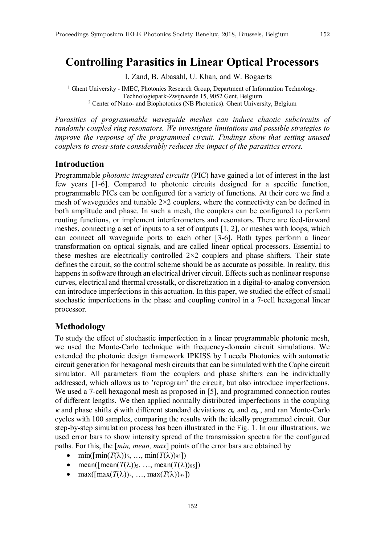# **Controlling Parasitics in Linear Optical Processors**

I. Zand, B. Abasahl, U. Khan, and W. Bogaerts

<sup>1</sup> Ghent University - IMEC, Photonics Research Group, Department of Information Technology. Technologiepark-Zwijnaarde 15, 9052 Gent, Belgium <sup>2</sup> Center of Nano- and Biophotonics (NB Photonics). Ghent University, Belgium

*Parasitics of programmable waveguide meshes can induce chaotic subcircuits of randomly coupled ring resonators. We investigate limitations and possible strategies to improve the response of the programmed circuit. Findings show that setting unused couplers to cross-state considerably reduces the impact of the parasitics errors.*

# **Introduction**

Programmable *photonic integrated circuits* (PIC) have gained a lot of interest in the last few years [1-6]. Compared to photonic circuits designed for a specific function, programmable PICs can be configured for a variety of functions. At their core we find a mesh of waveguides and tunable  $2\times 2$  couplers, where the connectivity can be defined in both amplitude and phase. In such a mesh, the couplers can be configured to perform routing functions, or implement interferometers and resonators. There are feed-forward meshes, connecting a set of inputs to a set of outputs [1, 2], or meshes with loops, which can connect all waveguide ports to each other [3-6]. Both types perform a linear transformation on optical signals, and are called linear optical processors. Essential to these meshes are electrically controlled  $2\times 2$  couplers and phase shifters. Their state defines the circuit, so the control scheme should be as accurate as possible. In reality, this happens in software through an electrical driver circuit. Effects such as nonlinear response curves, electrical and thermal crosstalk, or discretization in a digital-to-analog conversion can introduce imperfections in this actuation. In this paper, we studied the effect of small stochastic imperfections in the phase and coupling control in a 7-cell hexagonal linear processor.

### **Methodology**

To study the effect of stochastic imperfection in a linear programmable photonic mesh, we used the Monte-Carlo technique with frequency-domain circuit simulations. We extended the photonic design framework IPKISS by Luceda Photonics with automatic circuit generation for hexagonal mesh circuits that can be simulated with the Caphe circuit simulator. All parameters from the couplers and phase shifters can be individually addressed, which allows us to 'reprogram' the circuit, but also introduce imperfections. We used a 7-cell hexagonal mesh as proposed in [5], and programmed connection routes of different lengths. We then applied normally distributed imperfections in the coupling  $\kappa$  and phase shifts  $\phi$  with different standard deviations  $\sigma_{\kappa}$  and  $\sigma_{\phi}$ , and ran Monte-Carlo cycles with 100 samples, comparing the results with the ideally programmed circuit. Our step-by-step simulation process has been illustrated in the Fig. 1. In our illustrations, we used error bars to show intensity spread of the transmission spectra for the configured paths. For this, the [*min, mean, max*] points of the error bars are obtained by

- $\bullet$  min( $[\min(T(\lambda))_5, \ldots, \min(T(\lambda))_{95}])$
- mean( $\lceil \text{mean}(T(\lambda))_5, \ldots, \text{mean}(T(\lambda))_{95} \rceil$ )
- max( $\lceil \max(T(\lambda))_5, \ldots, \max(T(\lambda))_{95} \rceil$ )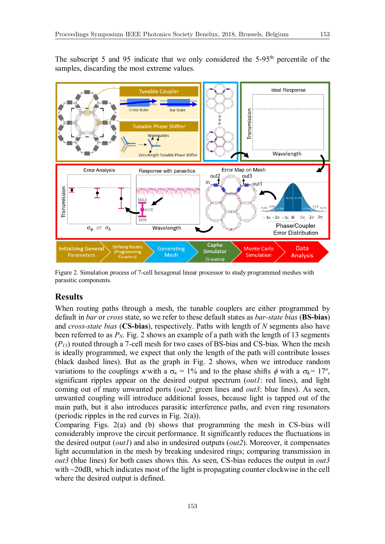The subscript 5 and 95 indicate that we only considered the 5-95th percentile of the samples, discarding the most extreme values.



Figure 2. Simulation process of 7-cell hexagonal linear processor to study programmed meshes with parasitic components.

### **Results**

When routing paths through a mesh, the tunable couplers are either programmed by default in *bar* or *cross* state, so we refer to these default states as *bar-state bias* (**BS-bias**) and *cross-state bias* (**CS-bias**), respectively. Paths with length of *N* segments also have been referred to as  $P_N$ . Fig. 2 shows an example of a path with the length of 13 segments (*P13*) routed through a 7-cell mesh for two cases of BS-bias and CS-bias. When the mesh is ideally programmed, we expect that only the length of the path will contribute losses (black dashed lines). But as the graph in Fig. 2 shows, when we introduce random variations to the couplings  $\kappa$  with a  $\sigma_{\kappa} = 1\%$  and to the phase shifts  $\phi$  with a  $\sigma_{\phi} = 17^{\circ}$ , significant ripples appear on the desired output spectrum (*out1*: red lines), and light coming out of many unwanted ports (*out2*: green lines and *out3*: blue lines). As seen, unwanted coupling will introduce additional losses, because light is tapped out of the main path, but it also introduces parasitic interference paths, and even ring resonators (periodic ripples in the red curves in Fig. 2(a)).

Comparing Figs. 2(a) and (b) shows that programming the mesh in CS-bias will considerably improve the circuit performance. It significantly reduces the fluctuations in the desired output (*out1*) and also in undesired outputs (*out2*). Moreover, it compensates light accumulation in the mesh by breaking undesired rings; comparing transmission in *out3* (blue lines) for both cases shows this. As seen, CS-bias reduces the output in *out3* with ~20dB, which indicates most of the light is propagating counter clockwise in the cell where the desired output is defined.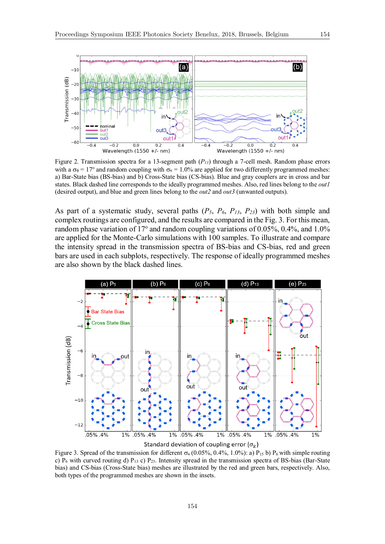

Figure 2. Transmission spectra for a 13-segment path (*P13*) through a 7-cell mesh. Random phase errors with a  $\sigma_{\phi} = 17^{\circ}$  and random coupling with  $\sigma_{\kappa} = 1.0\%$  are applied for two differently programmed meshes: a) Bar-State bias (BS-bias) and b) Cross-State bias (CS-bias). Blue and gray couplers are in cross and bar states. Black dashed line corresponds to the ideally programmed meshes. Also, red lines belong to the *out1* (desired output), and blue and green lines belong to the *out2* and *out3* (unwanted outputs).

As part of a systematic study, several paths (*P5*, *P6*, *P13*, *P23*) with both simple and complex routings are configured, and the results are compared in the Fig. 3. For this mean, random phase variation of 17 $^{\circ}$  and random coupling variations of 0.05%, 0.4%, and 1.0% are applied for the Monte-Carlo simulations with 100 samples. To illustrate and compare the intensity spread in the transmission spectra of BS-bias and CS-bias, red and green bars are used in each subplots, respectively. The response of ideally programmed meshes are also shown by the black dashed lines.



Standard deviation of coupling error  $(\sigma_k)$ 

Figure 3. Spread of the transmission for different  $\sigma_{\rm k}$  (0.05%, 0.4%, 1.0%): a) P<sub>15</sub> b) P<sub>6</sub> with simple routing c)  $P_6$  with curved routing d)  $P_{13}$  c)  $P_{23}$ . Intensity spread in the transmission spectra of BS-bias (Bar-State bias) and CS-bias (Cross-State bias) meshes are illustrated by the red and green bars, respectively. Also, both types of the programmed meshes are shown in the insets.